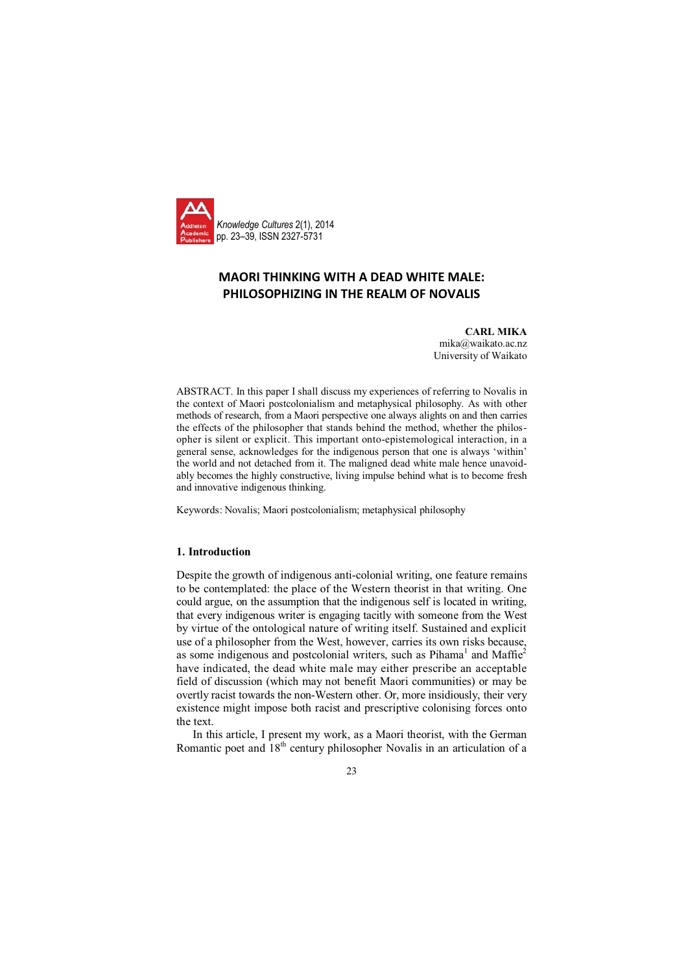

# **MAORI THINKING WITH A DEAD WHITE MALE: PHILOSOPHIZING IN THE REALM OF NOVALIS**

**CARL MIKA** mika@waikato.ac.nz University of Waikato

ABSTRACT. In this paper I shall discuss my experiences of referring to Novalis in the context of Maori postcolonialism and metaphysical philosophy. As with other methods of research, from a Maori perspective one always alights on and then carries the effects of the philosopher that stands behind the method, whether the philosopher is silent or explicit. This important onto-epistemological interaction, in a general sense, acknowledges for the indigenous person that one is always 'within' the world and not detached from it. The maligned dead white male hence unavoidably becomes the highly constructive, living impulse behind what is to become fresh and innovative indigenous thinking.

Keywords: Novalis; Maori postcolonialism; metaphysical philosophy

## **1. Introduction**

Despite the growth of indigenous anti-colonial writing, one feature remains to be contemplated: the place of the Western theorist in that writing. One could argue, on the assumption that the indigenous self is located in writing, that every indigenous writer is engaging tacitly with someone from the West by virtue of the ontological nature of writing itself. Sustained and explicit use of a philosopher from the West, however, carries its own risks because, as some indigenous and postcolonial writers, such as Pihama<sup>1</sup> and Maffie<sup>2</sup> have indicated, the dead white male may either prescribe an acceptable field of discussion (which may not benefit Maori communities) or may be overtly racist towards the non-Western other. Or, more insidiously, their very existence might impose both racist and prescriptive colonising forces onto the text.

In this article, I present my work, as a Maori theorist, with the German Romantic poet and  $18<sup>th</sup>$  century philosopher Novalis in an articulation of a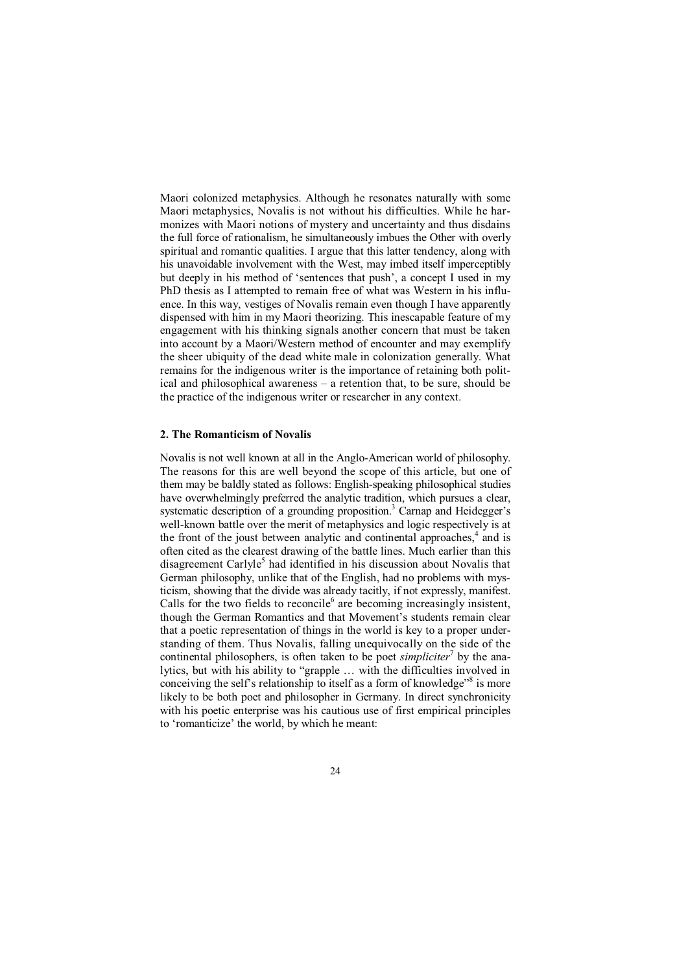Maori colonized metaphysics. Although he resonates naturally with some Maori metaphysics, Novalis is not without his difficulties. While he harmonizes with Maori notions of mystery and uncertainty and thus disdains the full force of rationalism, he simultaneously imbues the Other with overly spiritual and romantic qualities. I argue that this latter tendency, along with his unavoidable involvement with the West, may imbed itself imperceptibly but deeply in his method of 'sentences that push', a concept I used in my PhD thesis as I attempted to remain free of what was Western in his influence. In this way, vestiges of Novalis remain even though I have apparently dispensed with him in my Maori theorizing. This inescapable feature of my engagement with his thinking signals another concern that must be taken into account by a Maori/Western method of encounter and may exemplify the sheer ubiquity of the dead white male in colonization generally. What remains for the indigenous writer is the importance of retaining both political and philosophical awareness – a retention that, to be sure, should be the practice of the indigenous writer or researcher in any context.

# **2. The Romanticism of Novalis**

Novalis is not well known at all in the Anglo-American world of philosophy. The reasons for this are well beyond the scope of this article, but one of them may be baldly stated as follows: English-speaking philosophical studies have overwhelmingly preferred the analytic tradition, which pursues a clear, systematic description of a grounding proposition.<sup>3</sup> Carnap and Heidegger's well-known battle over the merit of metaphysics and logic respectively is at the front of the joust between analytic and continental approaches,<sup>4</sup> and is often cited as the clearest drawing of the battle lines. Much earlier than this disagreement Carlyle<sup>5</sup> had identified in his discussion about Novalis that German philosophy, unlike that of the English, had no problems with mysticism, showing that the divide was already tacitly, if not expressly, manifest. Calls for the two fields to reconcile<sup>6</sup> are becoming increasingly insistent, though the German Romantics and that Movement's students remain clear that a poetic representation of things in the world is key to a proper understanding of them. Thus Novalis, falling unequivocally on the side of the continental philosophers, is often taken to be poet *simpliciter*<sup>7</sup> by the analytics, but with his ability to "grapple … with the difficulties involved in conceiving the self's relationship to itself as a form of knowledge"<sup>8</sup> is more likely to be both poet and philosopher in Germany. In direct synchronicity with his poetic enterprise was his cautious use of first empirical principles to 'romanticize' the world, by which he meant: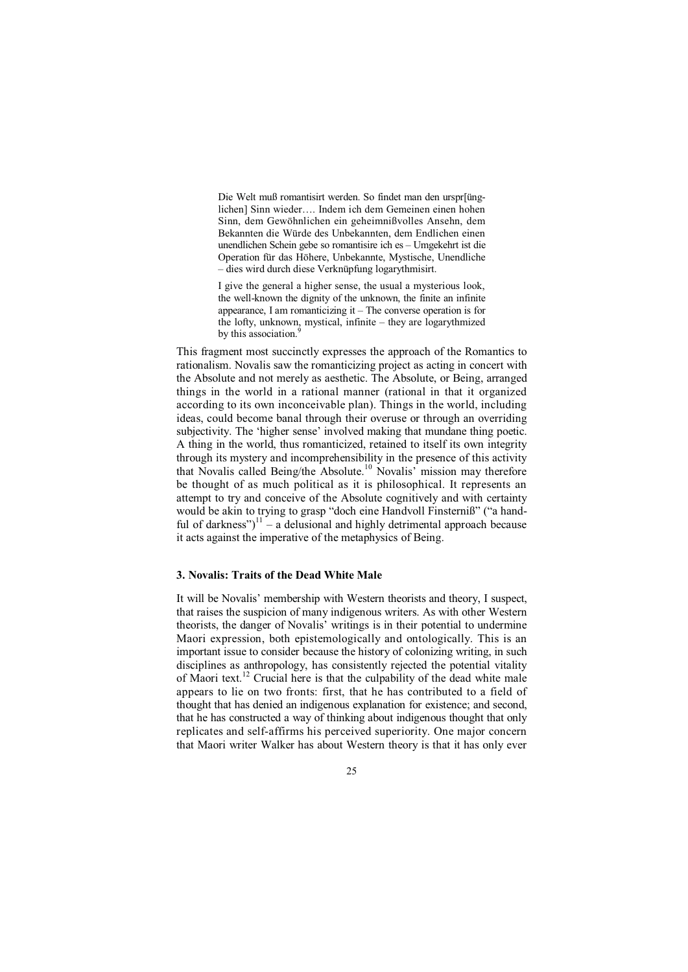Die Welt muß romantisirt werden. So findet man den urspr[ünglichen] Sinn wieder…. Indem ich dem Gemeinen einen hohen Sinn, dem Gewöhnlichen ein geheimnißvolles Ansehn, dem Bekannten die Würde des Unbekannten, dem Endlichen einen unendlichen Schein gebe so romantisire ich es – Umgekehrt ist die Operation für das Höhere, Unbekannte, Mystische, Unendliche – dies wird durch diese Verknüpfung logarythmisirt.

I give the general a higher sense, the usual a mysterious look, the well-known the dignity of the unknown, the finite an infinite appearance, I am romanticizing it – The converse operation is for the lofty, unknown, mystical, infinite – they are logarythmized by this association.<sup>9</sup> i,

This fragment most succinctly expresses the approach of the Romantics to rationalism. Novalis saw the romanticizing project as acting in concert with the Absolute and not merely as aesthetic. The Absolute, or Being, arranged things in the world in a rational manner (rational in that it organized according to its own inconceivable plan). Things in the world, including ideas, could become banal through their overuse or through an overriding subjectivity. The 'higher sense' involved making that mundane thing poetic. A thing in the world, thus romanticized, retained to itself its own integrity through its mystery and incomprehensibility in the presence of this activity that Novalis called Being/the Absolute.<sup>10</sup> Novalis' mission may therefore be thought of as much political as it is philosophical. It represents an attempt to try and conceive of the Absolute cognitively and with certainty would be akin to trying to grasp "doch eine Handvoll Finsterniß" ("a handful of darkness")<sup>11</sup> – a delusional and highly detrimental approach because it acts against the imperative of the metaphysics of Being.

#### **3. Novalis: Traits of the Dead White Male**

It will be Novalis' membership with Western theorists and theory, I suspect, that raises the suspicion of many indigenous writers. As with other Western theorists, the danger of Novalis' writings is in their potential to undermine Maori expression, both epistemologically and ontologically. This is an important issue to consider because the history of colonizing writing, in such disciplines as anthropology, has consistently rejected the potential vitality of Maori text.12 Crucial here is that the culpability of the dead white male appears to lie on two fronts: first, that he has contributed to a field of thought that has denied an indigenous explanation for existence; and second, that he has constructed a way of thinking about indigenous thought that only replicates and self-affirms his perceived superiority. One major concern that Maori writer Walker has about Western theory is that it has only ever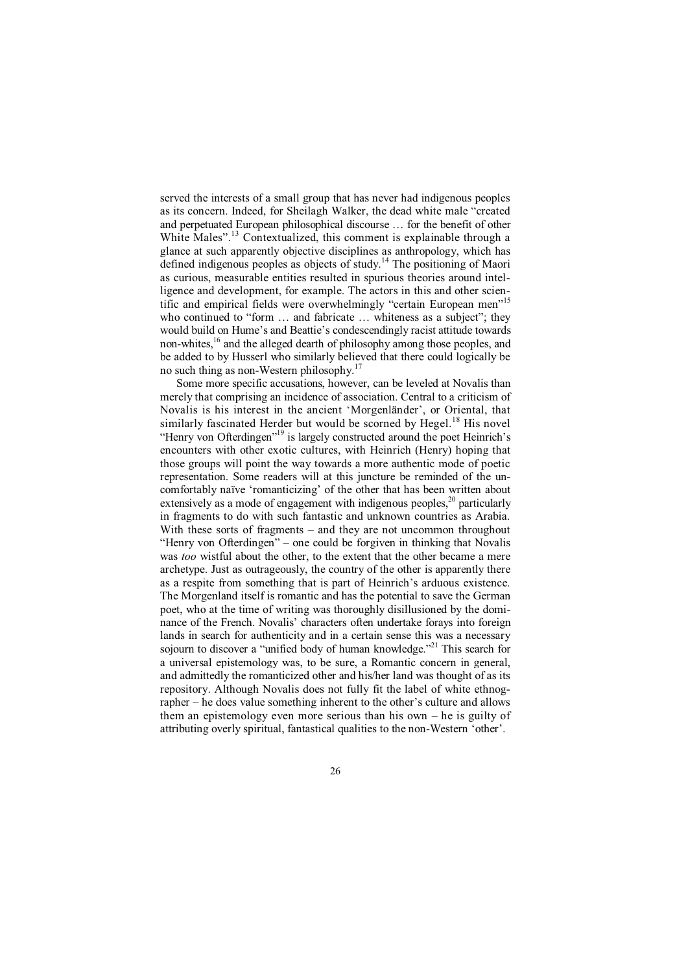served the interests of a small group that has never had indigenous peoples as its concern. Indeed, for Sheilagh Walker, the dead white male "created and perpetuated European philosophical discourse … for the benefit of other White Males".<sup>13</sup> Contextualized, this comment is explainable through a glance at such apparently objective disciplines as anthropology, which has defined indigenous peoples as objects of study.<sup>14</sup> The positioning of Maori as curious, measurable entities resulted in spurious theories around intelligence and development, for example. The actors in this and other scientific and empirical fields were overwhelmingly "certain European men"<sup>15</sup> who continued to "form ... and fabricate ... whiteness as a subject"; they would build on Hume's and Beattie's condescendingly racist attitude towards non-whites,16 and the alleged dearth of philosophy among those peoples, and be added to by Husserl who similarly believed that there could logically be no such thing as non-Western philosophy.<sup>17</sup>

Some more specific accusations, however, can be leveled at Novalis than merely that comprising an incidence of association. Central to a criticism of Novalis is his interest in the ancient 'Morgenländer', or Oriental, that similarly fascinated Herder but would be scorned by Hegel.<sup>18</sup> His novel "Henry von Ofterdingen"<sup>19</sup> is largely constructed around the poet Heinrich's encounters with other exotic cultures, with Heinrich (Henry) hoping that those groups will point the way towards a more authentic mode of poetic representation. Some readers will at this juncture be reminded of the uncomfortably naïve 'romanticizing' of the other that has been written about extensively as a mode of engagement with indigenous peoples, $2^{\circ}$  particularly in fragments to do with such fantastic and unknown countries as Arabia. With these sorts of fragments – and they are not uncommon throughout "Henry von Ofterdingen" – one could be forgiven in thinking that Novalis was *too* wistful about the other, to the extent that the other became a mere archetype. Just as outrageously, the country of the other is apparently there as a respite from something that is part of Heinrich's arduous existence. The Morgenland itself is romantic and has the potential to save the German poet, who at the time of writing was thoroughly disillusioned by the dominance of the French. Novalis' characters often undertake forays into foreign lands in search for authenticity and in a certain sense this was a necessary sojourn to discover a "unified body of human knowledge."<sup>21</sup> This search for a universal epistemology was, to be sure, a Romantic concern in general, and admittedly the romanticized other and his/her land was thought of as its repository. Although Novalis does not fully fit the label of white ethnographer – he does value something inherent to the other's culture and allows them an epistemology even more serious than his own – he is guilty of attributing overly spiritual, fantastical qualities to the non-Western 'other'.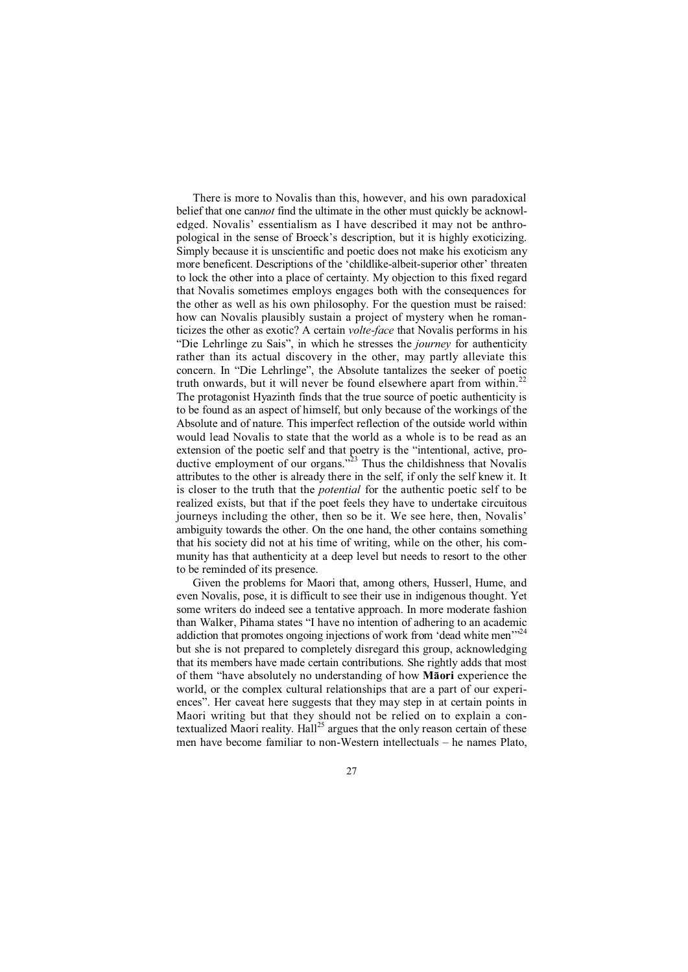There is more to Novalis than this, however, and his own paradoxical belief that one can*not* find the ultimate in the other must quickly be acknowledged. Novalis' essentialism as I have described it may not be anthropological in the sense of Broeck's description, but it is highly exoticizing. Simply because it is unscientific and poetic does not make his exoticism any more beneficent. Descriptions of the 'childlike-albeit-superior other' threaten to lock the other into a place of certainty. My objection to this fixed regard that Novalis sometimes employs engages both with the consequences for the other as well as his own philosophy. For the question must be raised: how can Novalis plausibly sustain a project of mystery when he romanticizes the other as exotic? A certain *volte-face* that Novalis performs in his "Die Lehrlinge zu Sais", in which he stresses the *journey* for authenticity rather than its actual discovery in the other, may partly alleviate this concern. In "Die Lehrlinge", the Absolute tantalizes the seeker of poetic truth onwards, but it will never be found elsewhere apart from within.<sup>22</sup> The protagonist Hyazinth finds that the true source of poetic authenticity is to be found as an aspect of himself, but only because of the workings of the Absolute and of nature. This imperfect reflection of the outside world within would lead Novalis to state that the world as a whole is to be read as an extension of the poetic self and that poetry is the "intentional, active, productive employment of our organs. $\frac{1}{2}$  Thus the childishness that Novalis attributes to the other is already there in the self, if only the self knew it. It is closer to the truth that the *potential* for the authentic poetic self to be realized exists, but that if the poet feels they have to undertake circuitous journeys including the other, then so be it. We see here, then, Novalis' ambiguity towards the other. On the one hand, the other contains something that his society did not at his time of writing, while on the other, his community has that authenticity at a deep level but needs to resort to the other to be reminded of its presence.

Given the problems for Maori that, among others, Husserl, Hume, and even Novalis, pose, it is difficult to see their use in indigenous thought. Yet some writers do indeed see a tentative approach. In more moderate fashion than Walker, Pihama states "I have no intention of adhering to an academic addiction that promotes ongoing injections of work from 'dead white men'<sup>22</sup> but she is not prepared to completely disregard this group, acknowledging that its members have made certain contributions. She rightly adds that most of them "have absolutely no understanding of how **Māori** experience the world, or the complex cultural relationships that are a part of our experiences". Her caveat here suggests that they may step in at certain points in Maori writing but that they should not be relied on to explain a contextualized Maori reality.  $H\left(\frac{3}{2}\right)$  argues that the only reason certain of these men have become familiar to non-Western intellectuals – he names Plato,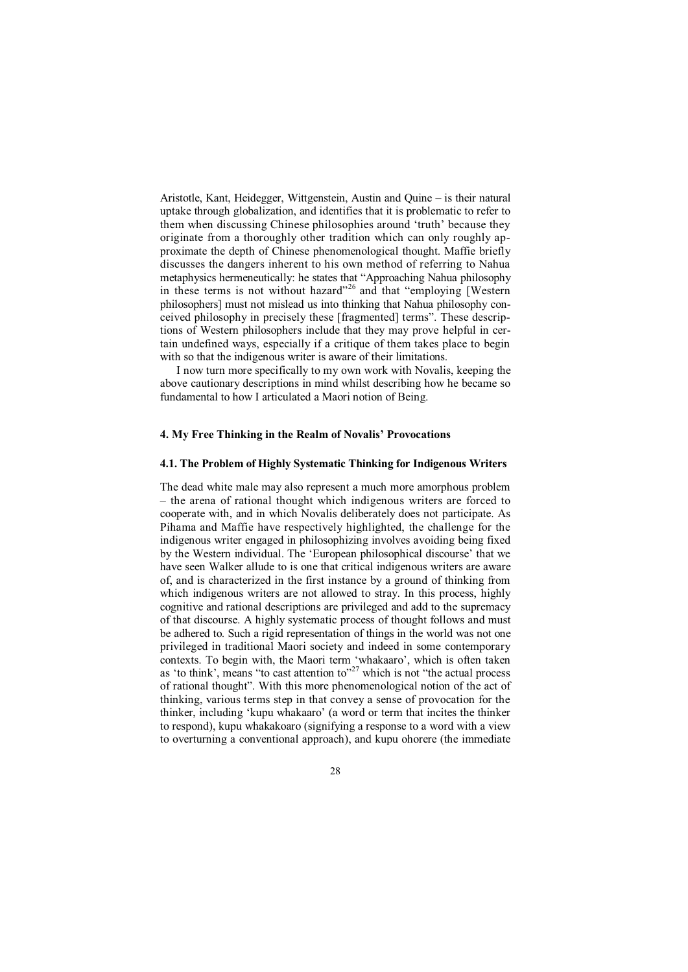Aristotle, Kant, Heidegger, Wittgenstein, Austin and Quine – is their natural uptake through globalization, and identifies that it is problematic to refer to them when discussing Chinese philosophies around 'truth' because they originate from a thoroughly other tradition which can only roughly approximate the depth of Chinese phenomenological thought. Maffie briefly discusses the dangers inherent to his own method of referring to Nahua metaphysics hermeneutically: he states that "Approaching Nahua philosophy in these terms is not without hazard"<sup>26</sup> and that "employing [Western philosophers] must not mislead us into thinking that Nahua philosophy conceived philosophy in precisely these [fragmented] terms". These descriptions of Western philosophers include that they may prove helpful in certain undefined ways, especially if a critique of them takes place to begin with so that the indigenous writer is aware of their limitations.

I now turn more specifically to my own work with Novalis, keeping the above cautionary descriptions in mind whilst describing how he became so fundamental to how I articulated a Maori notion of Being.

# **4. My Free Thinking in the Realm of Novalis' Provocations**

#### **4.1. The Problem of Highly Systematic Thinking for Indigenous Writers**

The dead white male may also represent a much more amorphous problem – the arena of rational thought which indigenous writers are forced to cooperate with, and in which Novalis deliberately does not participate. As Pihama and Maffie have respectively highlighted, the challenge for the indigenous writer engaged in philosophizing involves avoiding being fixed by the Western individual. The 'European philosophical discourse' that we have seen Walker allude to is one that critical indigenous writers are aware of, and is characterized in the first instance by a ground of thinking from which indigenous writers are not allowed to stray. In this process, highly cognitive and rational descriptions are privileged and add to the supremacy of that discourse. A highly systematic process of thought follows and must be adhered to. Such a rigid representation of things in the world was not one privileged in traditional Maori society and indeed in some contemporary contexts. To begin with, the Maori term 'whakaaro', which is often taken as 'to think', means "to cast attention to"<sup>27</sup> which is not "the actual process of rational thought". With this more phenomenological notion of the act of thinking, various terms step in that convey a sense of provocation for the thinker, including 'kupu whakaaro' (a word or term that incites the thinker to respond), kupu whakakoaro (signifying a response to a word with a view to overturning a conventional approach), and kupu ohorere (the immediate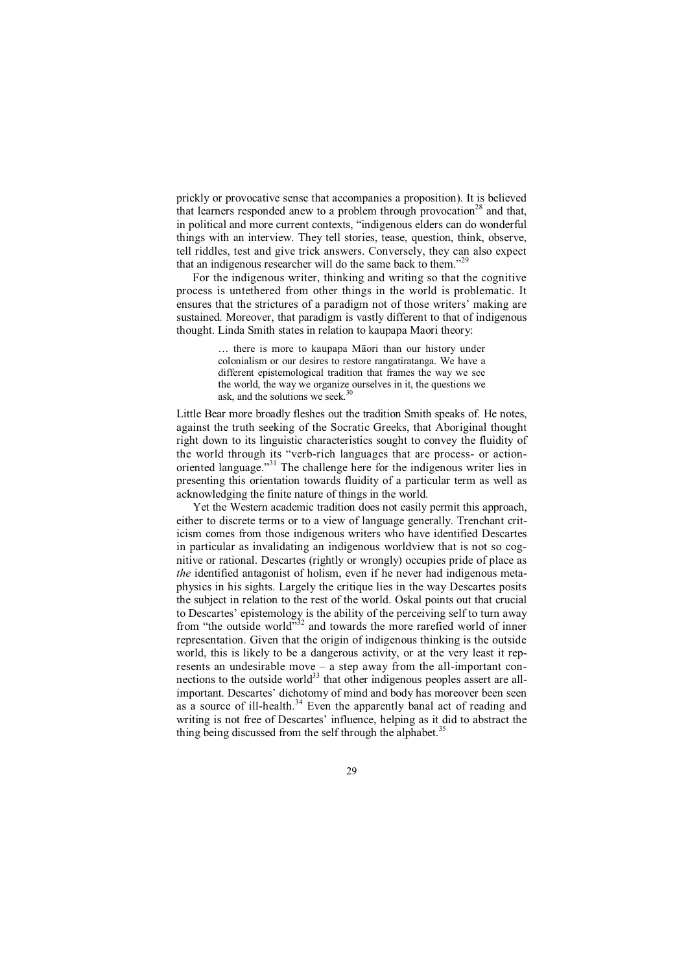prickly or provocative sense that accompanies a proposition). It is believed that learners responded anew to a problem through provocation<sup>28</sup> and that, in political and more current contexts, "indigenous elders can do wonderful things with an interview. They tell stories, tease, question, think, observe, tell riddles, test and give trick answers. Conversely, they can also expect that an indigenous researcher will do the same back to them."<sup>29</sup>

For the indigenous writer, thinking and writing so that the cognitive process is untethered from other things in the world is problematic. It ensures that the strictures of a paradigm not of those writers' making are sustained. Moreover, that paradigm is vastly different to that of indigenous thought. Linda Smith states in relation to kaupapa Maori theory:

> … there is more to kaupapa Māori than our history under colonialism or our desires to restore rangatiratanga. We have a different epistemological tradition that frames the way we see the world, the way we organize ourselves in it, the questions we ask, and the solutions we seek.<sup>30</sup>

Little Bear more broadly fleshes out the tradition Smith speaks of. He notes, against the truth seeking of the Socratic Greeks, that Aboriginal thought right down to its linguistic characteristics sought to convey the fluidity of the world through its "verb-rich languages that are process- or actionoriented language."31 The challenge here for the indigenous writer lies in presenting this orientation towards fluidity of a particular term as well as acknowledging the finite nature of things in the world.

Yet the Western academic tradition does not easily permit this approach, either to discrete terms or to a view of language generally. Trenchant criticism comes from those indigenous writers who have identified Descartes in particular as invalidating an indigenous worldview that is not so cognitive or rational. Descartes (rightly or wrongly) occupies pride of place as *the* identified antagonist of holism, even if he never had indigenous metaphysics in his sights. Largely the critique lies in the way Descartes posits the subject in relation to the rest of the world. Oskal points out that crucial to Descartes' epistemology is the ability of the perceiving self to turn away from "the outside world"<sup>32</sup> and towards the more rarefied world of inner representation. Given that the origin of indigenous thinking is the outside world, this is likely to be a dangerous activity, or at the very least it represents an undesirable move – a step away from the all-important connections to the outside world $33$  that other indigenous peoples assert are allimportant. Descartes' dichotomy of mind and body has moreover been seen as a source of ill-health.<sup>34</sup> Even the apparently banal act of reading and writing is not free of Descartes' influence, helping as it did to abstract the thing being discussed from the self through the alphabet.<sup>3</sup>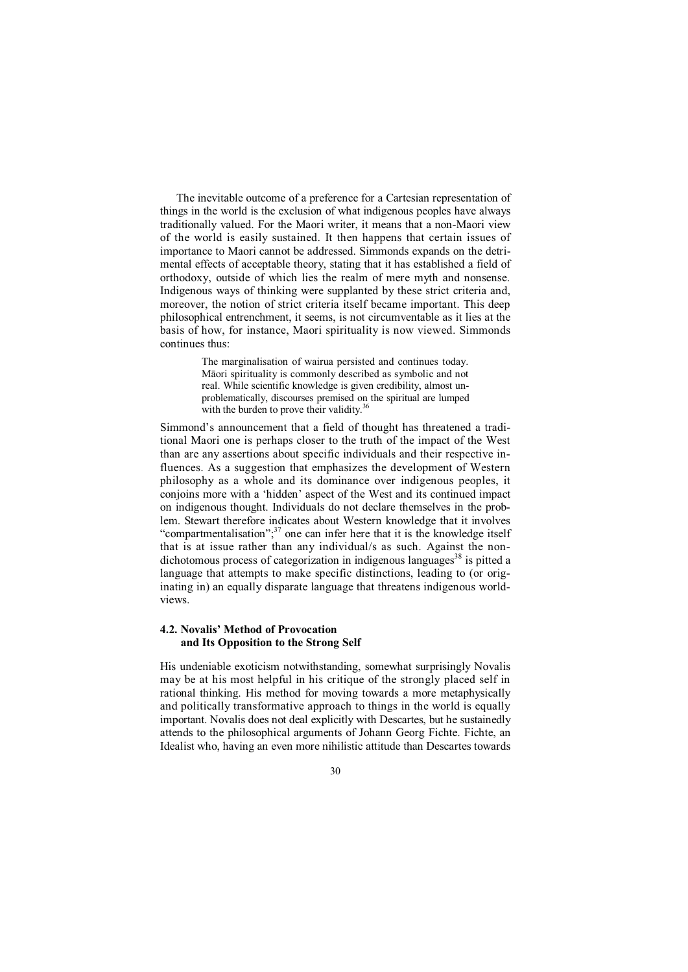The inevitable outcome of a preference for a Cartesian representation of things in the world is the exclusion of what indigenous peoples have always traditionally valued. For the Maori writer, it means that a non-Maori view of the world is easily sustained. It then happens that certain issues of importance to Maori cannot be addressed. Simmonds expands on the detrimental effects of acceptable theory, stating that it has established a field of orthodoxy, outside of which lies the realm of mere myth and nonsense. Indigenous ways of thinking were supplanted by these strict criteria and, moreover, the notion of strict criteria itself became important. This deep philosophical entrenchment, it seems, is not circumventable as it lies at the basis of how, for instance, Maori spirituality is now viewed. Simmonds continues thus:

> The marginalisation of wairua persisted and continues today. Māori spirituality is commonly described as symbolic and not real. While scientific knowledge is given credibility, almost unproblematically, discourses premised on the spiritual are lumped with the burden to prove their validity. $36$

Simmond's announcement that a field of thought has threatened a traditional Maori one is perhaps closer to the truth of the impact of the West than are any assertions about specific individuals and their respective influences. As a suggestion that emphasizes the development of Western philosophy as a whole and its dominance over indigenous peoples, it conjoins more with a 'hidden' aspect of the West and its continued impact on indigenous thought. Individuals do not declare themselves in the problem. Stewart therefore indicates about Western knowledge that it involves "compartmentalisation"; $37$  one can infer here that it is the knowledge itself that is at issue rather than any individual/s as such. Against the nondichotomous process of categorization in indigenous languages<sup>38</sup> is pitted a language that attempts to make specific distinctions, leading to (or originating in) an equally disparate language that threatens indigenous worldviews.

# **4.2. Novalis' Method of Provocation and Its Opposition to the Strong Self**

His undeniable exoticism notwithstanding, somewhat surprisingly Novalis may be at his most helpful in his critique of the strongly placed self in rational thinking. His method for moving towards a more metaphysically and politically transformative approach to things in the world is equally important. Novalis does not deal explicitly with Descartes, but he sustainedly attends to the philosophical arguments of Johann Georg Fichte. Fichte, an Idealist who, having an even more nihilistic attitude than Descartes towards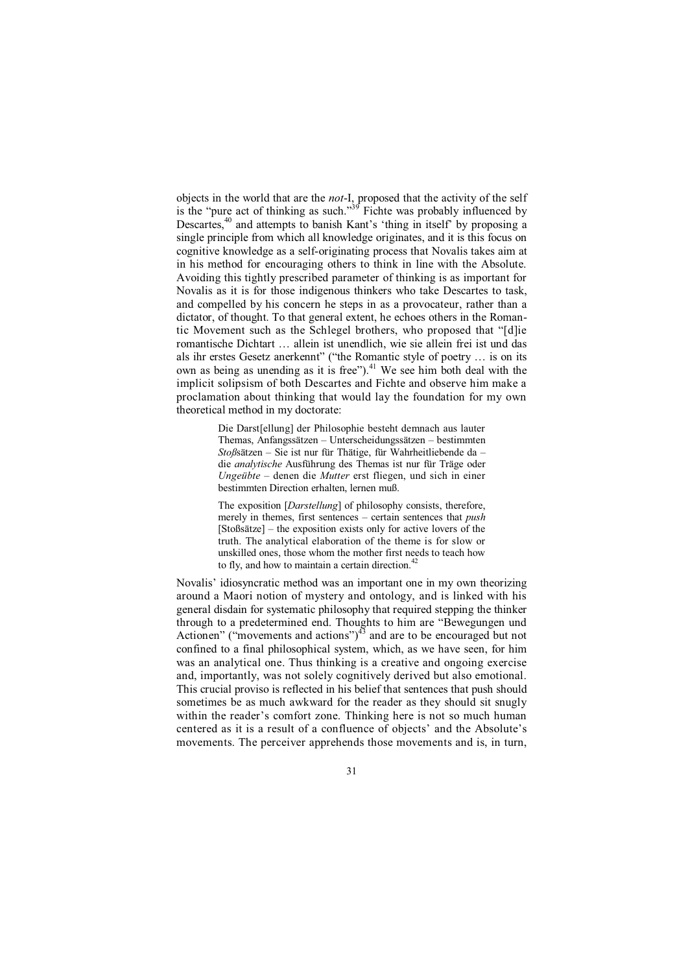objects in the world that are the *not*-I, proposed that the activity of the self is the "pure act of thinking as such."<sup>39</sup> Fichte was probably influenced by Descartes,<sup>40</sup> and attempts to banish Kant's 'thing in itself' by proposing a single principle from which all knowledge originates, and it is this focus on cognitive knowledge as a self-originating process that Novalis takes aim at in his method for encouraging others to think in line with the Absolute. Avoiding this tightly prescribed parameter of thinking is as important for Novalis as it is for those indigenous thinkers who take Descartes to task, and compelled by his concern he steps in as a provocateur, rather than a dictator, of thought. To that general extent, he echoes others in the Romantic Movement such as the Schlegel brothers, who proposed that "[d]ie romantische Dichtart … allein ist unendlich, wie sie allein frei ist und das als ihr erstes Gesetz anerkennt" ("the Romantic style of poetry … is on its own as being as unending as it is free"). $41$  We see him both deal with the implicit solipsism of both Descartes and Fichte and observe him make a proclamation about thinking that would lay the foundation for my own theoretical method in my doctorate:

> Die Darst[ellung] der Philosophie besteht demnach aus lauter Themas, Anfangssätzen – Unterscheidungssätzen – bestimmten *Stoß*sätzen – Sie ist nur für Thätige, für Wahrheitliebende da – die *analytische* Ausführung des Themas ist nur für Träge oder *Ungeübte* – denen die *Mutter* erst fliegen, und sich in einer bestimmten Direction erhalten, lernen muß.

> The exposition [*Darstellung*] of philosophy consists, therefore, merely in themes, first sentences – certain sentences that *push*  $[Stoßsätze]$  – the exposition exists only for active lovers of the truth. The analytical elaboration of the theme is for slow or unskilled ones, those whom the mother first needs to teach how to fly, and how to maintain a certain direction. $4$

Novalis' idiosyncratic method was an important one in my own theorizing around a Maori notion of mystery and ontology, and is linked with his general disdain for systematic philosophy that required stepping the thinker through to a predetermined end. Thoughts to him are "Bewegungen und Actionen" ("movements and actions") $4^3$  and are to be encouraged but not confined to a final philosophical system, which, as we have seen, for him was an analytical one. Thus thinking is a creative and ongoing exercise and, importantly, was not solely cognitively derived but also emotional. This crucial proviso is reflected in his belief that sentences that push should sometimes be as much awkward for the reader as they should sit snugly within the reader's comfort zone. Thinking here is not so much human centered as it is a result of a confluence of objects' and the Absolute's movements. The perceiver apprehends those movements and is, in turn,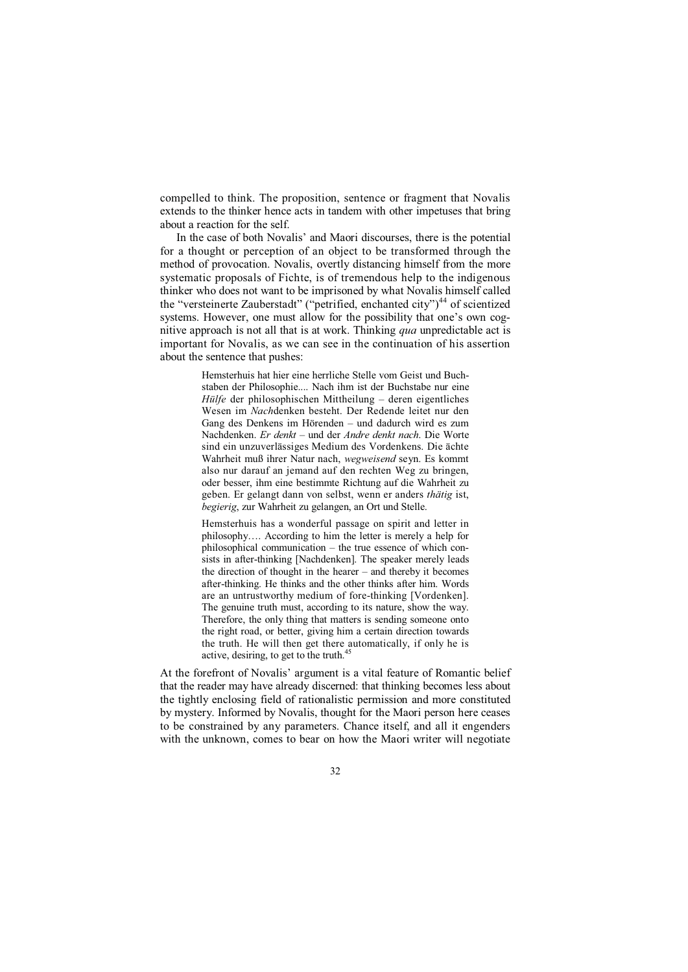compelled to think. The proposition, sentence or fragment that Novalis extends to the thinker hence acts in tandem with other impetuses that bring about a reaction for the self.

In the case of both Novalis' and Maori discourses, there is the potential for a thought or perception of an object to be transformed through the method of provocation. Novalis, overtly distancing himself from the more systematic proposals of Fichte, is of tremendous help to the indigenous thinker who does not want to be imprisoned by what Novalis himself called the "versteinerte Zauberstadt" ("petrified, enchanted city")<sup>44</sup> of scientized systems. However, one must allow for the possibility that one's own cognitive approach is not all that is at work. Thinking *qua* unpredictable act is important for Novalis, as we can see in the continuation of his assertion about the sentence that pushes:

> Hemsterhuis hat hier eine herrliche Stelle vom Geist und Buchstaben der Philosophie.... Nach ihm ist der Buchstabe nur eine *Hülfe* der philosophischen Mittheilung – deren eigentliches Wesen im *Nach*denken besteht. Der Redende leitet nur den Gang des Denkens im Hörenden – und dadurch wird es zum Nachdenken. *Er denkt* – und der *Andre denkt nach*. Die Worte sind ein unzuverlässiges Medium des Vordenkens. Die ächte Wahrheit muß ihrer Natur nach, *wegweisend* seyn. Es kommt also nur darauf an jemand auf den rechten Weg zu bringen, oder besser, ihm eine bestimmte Richtung auf die Wahrheit zu geben. Er gelangt dann von selbst, wenn er anders *thätig* ist, *begierig*, zur Wahrheit zu gelangen, an Ort und Stelle.

> Hemsterhuis has a wonderful passage on spirit and letter in philosophy…. According to him the letter is merely a help for philosophical communication – the true essence of which consists in after-thinking [Nachdenken]. The speaker merely leads the direction of thought in the hearer – and thereby it becomes after-thinking. He thinks and the other thinks after him. Words are an untrustworthy medium of fore-thinking [Vordenken]. The genuine truth must, according to its nature, show the way. Therefore, the only thing that matters is sending someone onto the right road, or better, giving him a certain direction towards the truth. He will then get there automatically, if only he is active, desiring, to get to the truth.<sup>45</sup>

At the forefront of Novalis' argument is a vital feature of Romantic belief that the reader may have already discerned: that thinking becomes less about the tightly enclosing field of rationalistic permission and more constituted by mystery. Informed by Novalis, thought for the Maori person here ceases to be constrained by any parameters. Chance itself, and all it engenders with the unknown, comes to bear on how the Maori writer will negotiate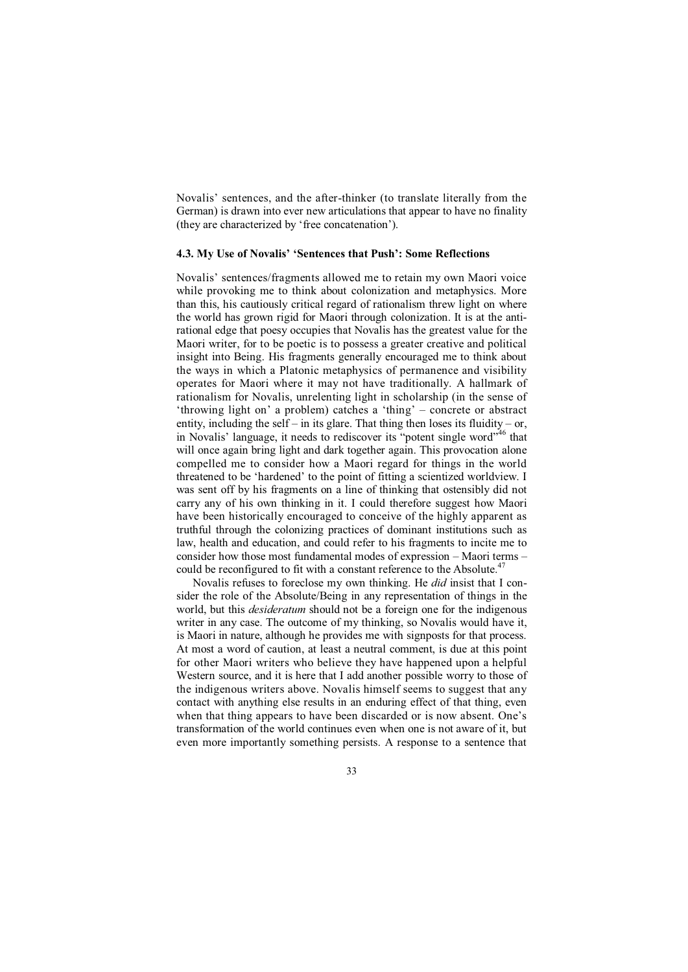Novalis' sentences, and the after-thinker (to translate literally from the German) is drawn into ever new articulations that appear to have no finality (they are characterized by 'free concatenation').

## **4.3. My Use of Novalis' 'Sentences that Push': Some Reflections**

Novalis' sentences/fragments allowed me to retain my own Maori voice while provoking me to think about colonization and metaphysics. More than this, his cautiously critical regard of rationalism threw light on where the world has grown rigid for Maori through colonization. It is at the antirational edge that poesy occupies that Novalis has the greatest value for the Maori writer, for to be poetic is to possess a greater creative and political insight into Being. His fragments generally encouraged me to think about the ways in which a Platonic metaphysics of permanence and visibility operates for Maori where it may not have traditionally. A hallmark of rationalism for Novalis, unrelenting light in scholarship (in the sense of 'throwing light on' a problem) catches a 'thing' – concrete or abstract entity, including the self – in its glare. That thing then loses its fluidity – or, in Novalis' language, it needs to rediscover its "potent single word"<sup>46</sup> that will once again bring light and dark together again. This provocation alone compelled me to consider how a Maori regard for things in the world threatened to be 'hardened' to the point of fitting a scientized worldview. I was sent off by his fragments on a line of thinking that ostensibly did not carry any of his own thinking in it. I could therefore suggest how Maori have been historically encouraged to conceive of the highly apparent as truthful through the colonizing practices of dominant institutions such as law, health and education, and could refer to his fragments to incite me to consider how those most fundamental modes of expression – Maori terms – could be reconfigured to fit with a constant reference to the Absolute.<sup>4</sup>

Novalis refuses to foreclose my own thinking. He *did* insist that I consider the role of the Absolute/Being in any representation of things in the world, but this *desideratum* should not be a foreign one for the indigenous writer in any case. The outcome of my thinking, so Novalis would have it, is Maori in nature, although he provides me with signposts for that process. At most a word of caution, at least a neutral comment, is due at this point for other Maori writers who believe they have happened upon a helpful Western source, and it is here that I add another possible worry to those of the indigenous writers above. Novalis himself seems to suggest that any contact with anything else results in an enduring effect of that thing, even when that thing appears to have been discarded or is now absent. One's transformation of the world continues even when one is not aware of it, but even more importantly something persists. A response to a sentence that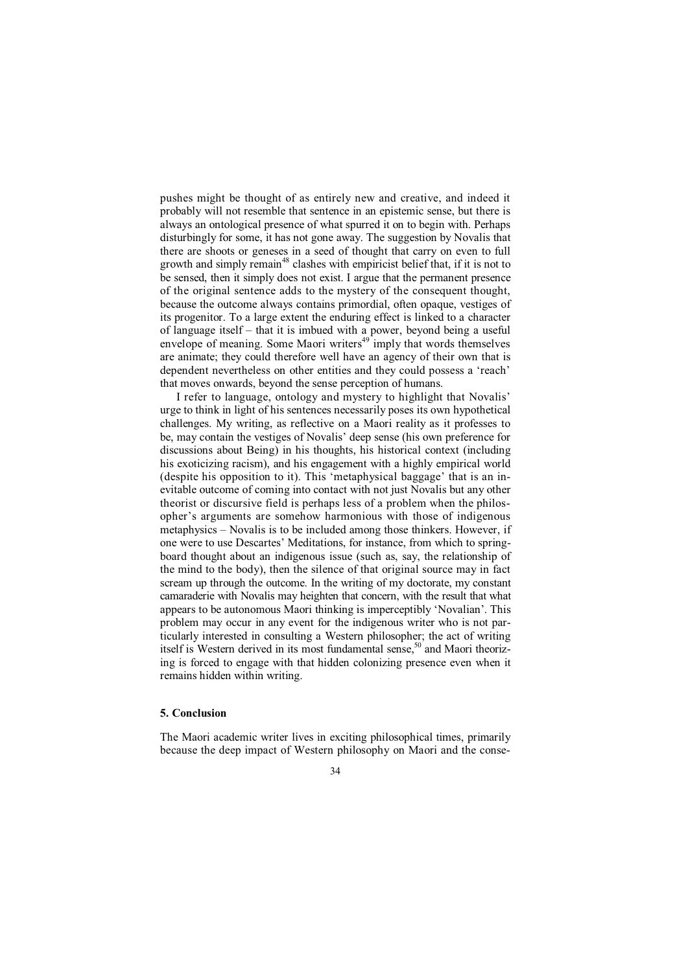pushes might be thought of as entirely new and creative, and indeed it probably will not resemble that sentence in an epistemic sense, but there is always an ontological presence of what spurred it on to begin with. Perhaps disturbingly for some, it has not gone away. The suggestion by Novalis that there are shoots or geneses in a seed of thought that carry on even to full growth and simply remain<sup>48</sup> clashes with empiricist belief that, if it is not to be sensed, then it simply does not exist. I argue that the permanent presence of the original sentence adds to the mystery of the consequent thought, because the outcome always contains primordial, often opaque, vestiges of its progenitor. To a large extent the enduring effect is linked to a character of language itself – that it is imbued with a power, beyond being a useful envelope of meaning. Some Maori writers<sup>49</sup> imply that words themselves are animate; they could therefore well have an agency of their own that is dependent nevertheless on other entities and they could possess a 'reach' that moves onwards, beyond the sense perception of humans.

I refer to language, ontology and mystery to highlight that Novalis' urge to think in light of his sentences necessarily poses its own hypothetical challenges. My writing, as reflective on a Maori reality as it professes to be, may contain the vestiges of Novalis' deep sense (his own preference for discussions about Being) in his thoughts, his historical context (including his exoticizing racism), and his engagement with a highly empirical world (despite his opposition to it). This 'metaphysical baggage' that is an inevitable outcome of coming into contact with not just Novalis but any other theorist or discursive field is perhaps less of a problem when the philosopher's arguments are somehow harmonious with those of indigenous metaphysics – Novalis is to be included among those thinkers. However, if one were to use Descartes' Meditations, for instance, from which to springboard thought about an indigenous issue (such as, say, the relationship of the mind to the body), then the silence of that original source may in fact scream up through the outcome. In the writing of my doctorate, my constant camaraderie with Novalis may heighten that concern, with the result that what appears to be autonomous Maori thinking is imperceptibly 'Novalian'. This problem may occur in any event for the indigenous writer who is not particularly interested in consulting a Western philosopher; the act of writing itself is Western derived in its most fundamental sense,<sup>50</sup> and Maori theorizing is forced to engage with that hidden colonizing presence even when it remains hidden within writing.

# **5. Conclusion**

The Maori academic writer lives in exciting philosophical times, primarily because the deep impact of Western philosophy on Maori and the conse-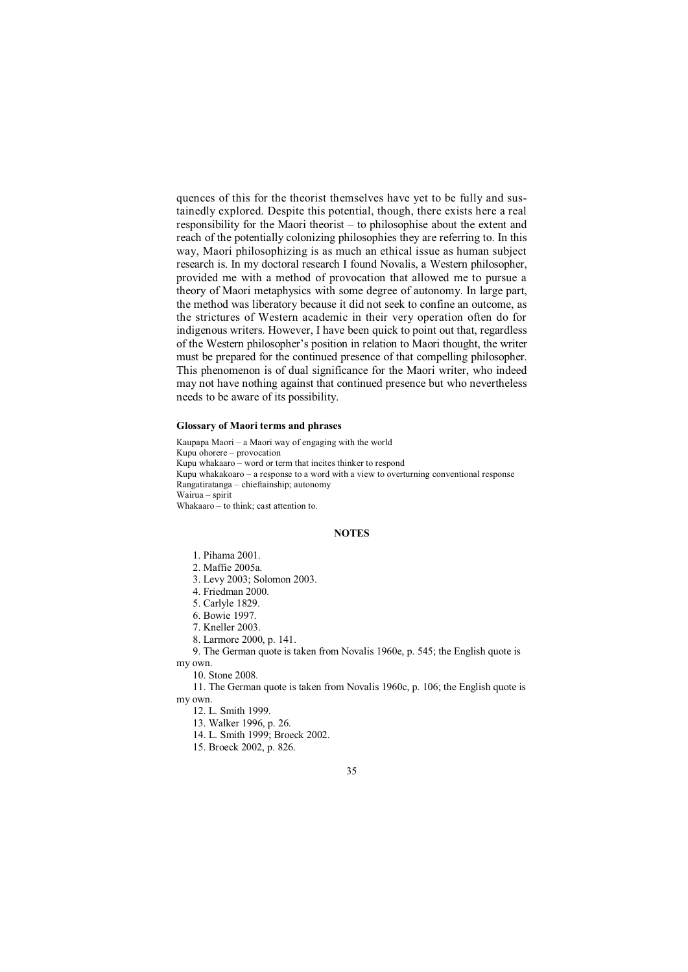quences of this for the theorist themselves have yet to be fully and sustainedly explored. Despite this potential, though, there exists here a real responsibility for the Maori theorist – to philosophise about the extent and reach of the potentially colonizing philosophies they are referring to. In this way, Maori philosophizing is as much an ethical issue as human subject research is. In my doctoral research I found Novalis, a Western philosopher, provided me with a method of provocation that allowed me to pursue a theory of Maori metaphysics with some degree of autonomy. In large part, the method was liberatory because it did not seek to confine an outcome, as the strictures of Western academic in their very operation often do for indigenous writers. However, I have been quick to point out that, regardless of the Western philosopher's position in relation to Maori thought, the writer must be prepared for the continued presence of that compelling philosopher. This phenomenon is of dual significance for the Maori writer, who indeed may not have nothing against that continued presence but who nevertheless needs to be aware of its possibility.

#### **Glossary of Maori terms and phrases**

Kaupapa Maori – a Maori way of engaging with the world Kupu ohorere – provocation Kupu whakaaro – word or term that incites thinker to respond Kupu whakakoaro – a response to a word with a view to overturning conventional response Rangatiratanga – chieftainship; autonomy Wairua – spirit Whakaaro – to think; cast attention to.

#### **NOTES**

1. Pihama 2001.

- 2. Maffie 2005a.
- 3. Levy 2003; Solomon 2003.
- 4. Friedman 2000.
- 5. Carlyle 1829.
- 6. Bowie 1997.
- 7. Kneller 2003.
- 8. Larmore 2000, p. 141.
- 9. The German quote is taken from Novalis 1960e, p. 545; the English quote is my own.

10. Stone 2008.

11. The German quote is taken from Novalis 1960c, p. 106; the English quote is my own.

12. L. Smith 1999.

13. Walker 1996, p. 26.

14. L. Smith 1999; Broeck 2002.

15. Broeck 2002, p. 826.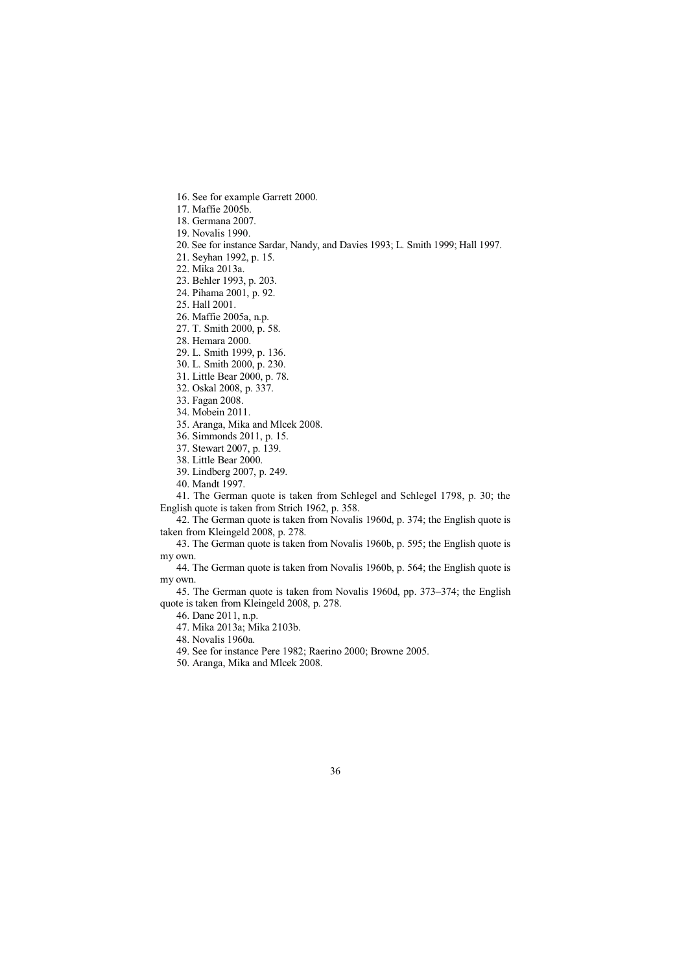- 16. See for example Garrett 2000.
- 17. Maffie 2005b.
- 18. Germana 2007.
- 19. Novalis 1990.
- 20. See for instance Sardar, Nandy, and Davies 1993; L. Smith 1999; Hall 1997.
- 21. Seyhan 1992, p. 15.
- 22. Mika 2013a.
- 23. Behler 1993, p. 203.
- 24. Pihama 2001, p. 92.
- 25. Hall 2001.
- 26. Maffie 2005a, n.p.
- 27. T. Smith 2000, p. 58.
- 28. Hemara 2000.
- 29. L. Smith 1999, p. 136.
- 30. L. Smith 2000, p. 230.
- 31. Little Bear 2000, p. 78.
- 32. Oskal 2008, p. 337.
- 33. Fagan 2008.
- 34. Mobein 2011.
- 35. Aranga, Mika and Mlcek 2008.
- 36. Simmonds 2011, p. 15.
- 37. Stewart 2007, p. 139.
- 38. Little Bear 2000.
- 39. Lindberg 2007, p. 249.
- 40. Mandt 1997.

41. The German quote is taken from Schlegel and Schlegel 1798, p. 30; the English quote is taken from Strich 1962, p. 358.

42. The German quote is taken from Novalis 1960d, p. 374; the English quote is taken from Kleingeld 2008, p. 278.

43. The German quote is taken from Novalis 1960b, p. 595; the English quote is my own.

44. The German quote is taken from Novalis 1960b, p. 564; the English quote is my own.

45. The German quote is taken from Novalis 1960d, pp. 373–374; the English quote is taken from Kleingeld 2008, p. 278.

- 46. Dane 2011, n.p.
- 47. Mika 2013a; Mika 2103b.
- 48. Novalis 1960a.
- 49. See for instance Pere 1982; Raerino 2000; Browne 2005.
- 50. Aranga, Mika and Mlcek 2008.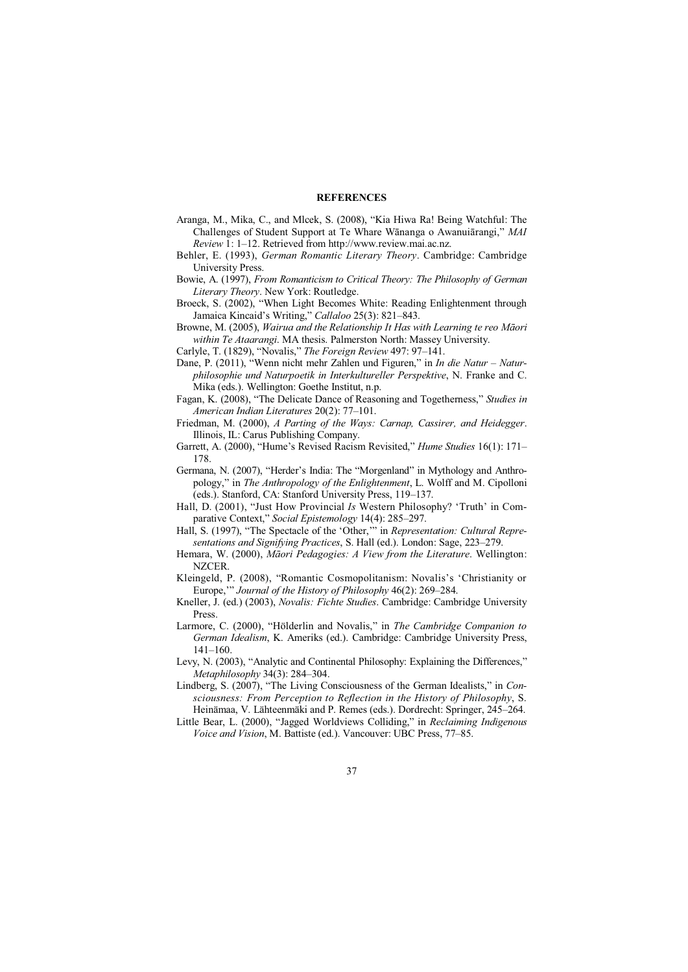#### **REFERENCES**

- Aranga, M., Mika, C., and Mlcek, S. (2008), "Kia Hiwa Ra! Being Watchful: The Challenges of Student Support at Te Whare Wānanga o Awanuiārangi," *MAI Review* 1: 1–12. Retrieved from http://www.review.mai.ac.nz.
- Behler, E. (1993), *German Romantic Literary Theory*. Cambridge: Cambridge University Press.
- Bowie, A. (1997), *From Romanticism to Critical Theory: The Philosophy of German Literary Theory*. New York: Routledge.
- Broeck, S. (2002), "When Light Becomes White: Reading Enlightenment through Jamaica Kincaid's Writing," *Callaloo* 25(3): 821–843.
- Browne, M. (2005), *Wairua and the Relationship It Has with Learning te reo Māori within Te Ataarangi*. MA thesis. Palmerston North: Massey University.
- Carlyle, T. (1829), "Novalis," *The Foreign Review* 497: 97–141.
- Dane, P. (2011), "Wenn nicht mehr Zahlen und Figuren," in *In die Natur Naturphilosophie und Naturpoetik in Interkultureller Perspektive*, N. Franke and C. Mika (eds.). Wellington: Goethe Institut, n.p.
- Fagan, K. (2008), "The Delicate Dance of Reasoning and Togetherness," *Studies in American Indian Literatures* 20(2): 77–101.
- Friedman, M. (2000), *A Parting of the Ways: Carnap, Cassirer, and Heidegger*. Illinois, IL: Carus Publishing Company.
- Garrett, A. (2000), "Hume's Revised Racism Revisited," *Hume Studies* 16(1): 171– 178.
- Germana, N. (2007), "Herder's India: The "Morgenland" in Mythology and Anthropology," in *The Anthropology of the Enlightenment*, L. Wolff and M. Cipolloni (eds.). Stanford, CA: Stanford University Press, 119–137.
- Hall, D. (2001), "Just How Provincial *Is* Western Philosophy? 'Truth' in Comparative Context," *Social Epistemology* 14(4): 285–297.
- Hall, S. (1997), "The Spectacle of the 'Other,'" in *Representation: Cultural Representations and Signifying Practices*, S. Hall (ed.). London: Sage, 223–279.
- Hemara, W. (2000), *Māori Pedagogies: A View from the Literature*. Wellington: NZCER.
- Kleingeld, P. (2008), "Romantic Cosmopolitanism: Novalis's 'Christianity or Europe,'" *Journal of the History of Philosophy* 46(2): 269–284.
- Kneller, J. (ed.) (2003), *Novalis: Fichte Studies*. Cambridge: Cambridge University Press.
- Larmore, C. (2000), "Hölderlin and Novalis," in *The Cambridge Companion to German Idealism*, K. Ameriks (ed.). Cambridge: Cambridge University Press, 141–160.
- Levy, N. (2003), "Analytic and Continental Philosophy: Explaining the Differences," *Metaphilosophy* 34(3): 284–304.
- Lindberg, S. (2007), "The Living Consciousness of the German Idealists," in *Consciousness: From Perception to Reflection in the History of Philosophy*, S. Heinämaa, V. Lähteenmäki and P. Remes (eds.). Dordrecht: Springer, 245–264.
- Little Bear, L. (2000), "Jagged Worldviews Colliding," in *Reclaiming Indigenous Voice and Vision*, M. Battiste (ed.). Vancouver: UBC Press, 77–85.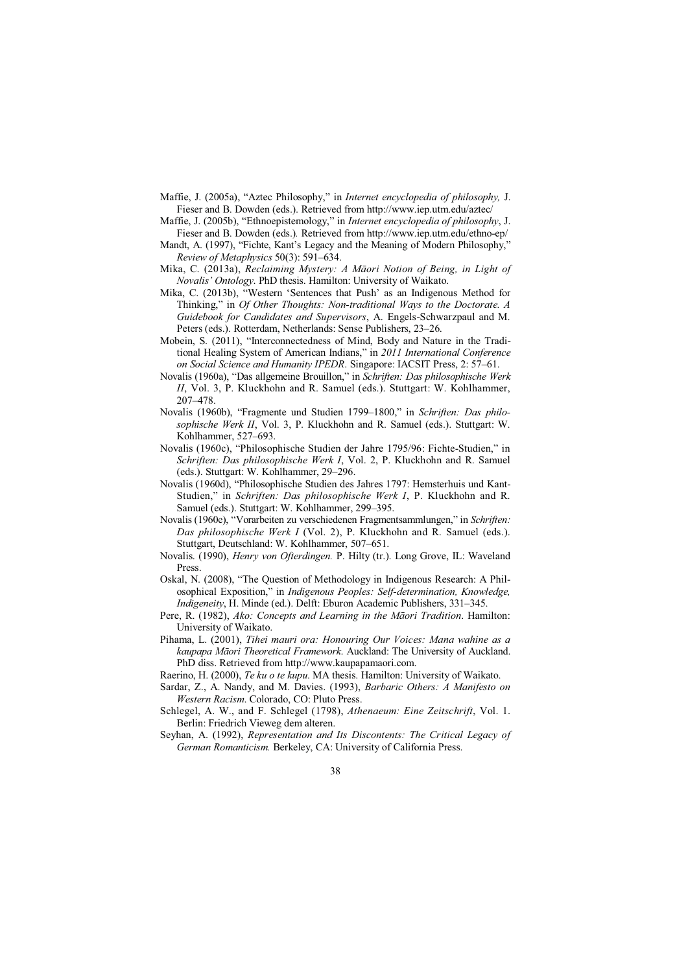- Maffie, J. (2005a), "Aztec Philosophy," in *Internet encyclopedia of philosophy,* J. Fieser and B. Dowden (eds.). Retrieved from http://www.iep.utm.edu/aztec/
- Maffie, J. (2005b), "Ethnoepistemology," in *Internet encyclopedia of philosophy*, J. Fieser and B. Dowden (eds.)*.* Retrieved from http://www.iep.utm.edu/ethno-ep/
- Mandt, A. (1997), "Fichte, Kant's Legacy and the Meaning of Modern Philosophy," *Review of Metaphysics* 50(3): 591–634.
- Mika, C. (2013a), *Reclaiming Mystery: A Māori Notion of Being, in Light of Novalis' Ontology*. PhD thesis. Hamilton: University of Waikato.
- Mika, C. (2013b), "Western 'Sentences that Push' as an Indigenous Method for Thinking," in *Of Other Thoughts: Non-traditional Ways to the Doctorate. A Guidebook for Candidates and Supervisors*, A. Engels-Schwarzpaul and M. Peters (eds.). Rotterdam, Netherlands: Sense Publishers, 23–26.
- Mobein, S. (2011), "Interconnectedness of Mind, Body and Nature in the Traditional Healing System of American Indians," in *2011 International Conference on Social Science and Humanity IPEDR*. Singapore: IACSIT Press, 2: 57–61.
- Novalis (1960a), "Das allgemeine Brouillon," in *Schriften: Das philosophische Werk II*, Vol. 3, P. Kluckhohn and R. Samuel (eds.). Stuttgart: W. Kohlhammer, 207–478.
- Novalis (1960b), "Fragmente und Studien 1799–1800," in *Schriften: Das philosophische Werk II*, Vol. 3, P. Kluckhohn and R. Samuel (eds.). Stuttgart: W. Kohlhammer, 527–693.
- Novalis (1960c), "Philosophische Studien der Jahre 1795/96: Fichte-Studien," in *Schriften: Das philosophische Werk I*, Vol. 2, P. Kluckhohn and R. Samuel (eds.). Stuttgart: W. Kohlhammer, 29–296.
- Novalis (1960d), "Philosophische Studien des Jahres 1797: Hemsterhuis und Kant-Studien," in *Schriften: Das philosophische Werk I*, P. Kluckhohn and R. Samuel (eds.). Stuttgart: W. Kohlhammer, 299–395.
- Novalis (1960e), "Vorarbeiten zu verschiedenen Fragmentsammlungen," in *Schriften: Das philosophische Werk I* (Vol. 2), P. Kluckhohn and R. Samuel (eds.). Stuttgart, Deutschland: W. Kohlhammer, 507–651.
- Novalis. (1990), *Henry von Ofterdingen.* P. Hilty (tr.). Long Grove, IL: Waveland Press.
- Oskal, N. (2008), "The Question of Methodology in Indigenous Research: A Philosophical Exposition," in *Indigenous Peoples: Self-determination, Knowledge, Indigeneity*, H. Minde (ed.). Delft: Eburon Academic Publishers, 331–345.
- Pere, R. (1982), *Ako: Concepts and Learning in the Māori Tradition*. Hamilton: University of Waikato.
- Pihama, L. (2001), *Tihei mauri ora: Honouring Our Voices: Mana wahine as a kaupapa Māori Theoretical Framework*. Auckland: The University of Auckland. PhD diss. Retrieved from http://www.kaupapamaori.com.
- Raerino, H. (2000), *Te ku o te kupu*. MA thesis. Hamilton: University of Waikato.
- Sardar, Z., A. Nandy, and M. Davies. (1993), *Barbaric Others: A Manifesto on Western Racism*. Colorado, CO: Pluto Press.
- Schlegel, A. W., and F. Schlegel (1798), *Athenaeum: Eine Zeitschrift*, Vol. 1. Berlin: Friedrich Vieweg dem alteren.
- Seyhan, A. (1992), *Representation and Its Discontents: The Critical Legacy of German Romanticism.* Berkeley, CA: University of California Press.